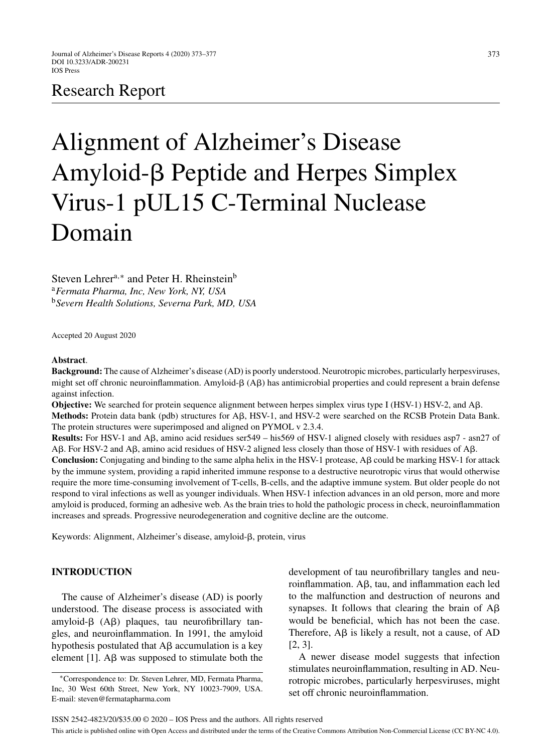# Research Report

# Alignment of Alzheimer's Disease Amyloid- $\beta$  Peptide and Herpes Simplex Virus-1 pUL15 C-Terminal Nuclease Domain

Steven Lehrer<sup>a,∗</sup> and Peter H. Rheinstein<sup>b</sup> <sup>a</sup>*Fermata Pharma, Inc, New York, NY, USA* <sup>b</sup>*Severn Health Solutions, Severna Park, MD, USA*

Accepted 20 August 2020

#### **Abstract**.

**Background:** The cause of Alzheimer's disease (AD) is poorly understood. Neurotropic microbes, particularly herpesviruses, might set off chronic neuroinflammation. Amyloid- $\beta$  (A $\beta$ ) has antimicrobial properties and could represent a brain defense against infection.

**Objective:** We searched for protein sequence alignment between herpes simplex virus type I (HSV-1) HSV-2, and Aβ. Methods: Protein data bank (pdb) structures for A $\beta$ , HSV-1, and HSV-2 were searched on the RCSB Protein Data Bank. The protein structures were superimposed and aligned on PYMOL v 2.3.4.

**Results:** For HSV-1 and A $\beta$ , amino acid residues ser549 – his569 of HSV-1 aligned closely with residues asp7 - asn27 of  $\text{A}\beta$ . For HSV-2 and A $\beta$ , amino acid residues of HSV-2 aligned less closely than those of HSV-1 with residues of A $\beta$ .

**Conclusion:** Conjugating and binding to the same alpha helix in the HSV-1 protease,  $\text{A}\beta$  could be marking HSV-1 for attack by the immune system, providing a rapid inherited immune response to a destructive neurotropic virus that would otherwise require the more time-consuming involvement of T-cells, B-cells, and the adaptive immune system. But older people do not respond to viral infections as well as younger individuals. When HSV-1 infection advances in an old person, more and more amyloid is produced, forming an adhesive web. As the brain tries to hold the pathologic process in check, neuroinflammation increases and spreads. Progressive neurodegeneration and cognitive decline are the outcome.

Keywords: Alignment, Alzheimer's disease, amyloid- $\beta$ , protein, virus

# **INTRODUCTION**

The cause of Alzheimer's disease (AD) is poorly understood. The disease process is associated with  $amyloid-\beta$  (A $\beta$ ) plaques, tau neurofibrillary tangles, and neuroinflammation. In 1991, the amyloid hypothesis postulated that  $A\beta$  accumulation is a key element [1].  $A\beta$  was supposed to stimulate both the

development of tau neurofibrillary tangles and neuroinflammation.  $A\beta$ , tau, and inflammation each led to the malfunction and destruction of neurons and synapses. It follows that clearing the brain of  $A\beta$ would be beneficial, which has not been the case. Therefore,  $\overrightarrow{AB}$  is likely a result, not a cause, of AD [2, 3].

A newer disease model suggests that infection stimulates neuroinflammation, resulting in AD. Neurotropic microbes, particularly herpesviruses, might set off chronic neuroinflammation.

<sup>∗</sup>Correspondence to: Dr. Steven Lehrer, MD, Fermata Pharma, Inc, 30 West 60th Street, New York, NY 10023-7909, USA. E-mail: [steven@fermatapharma.com](mailto:steven@fermatapharma.com)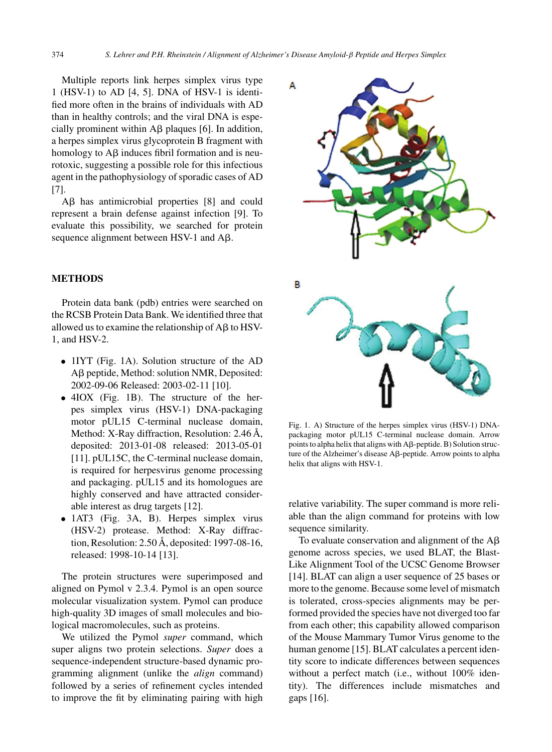Multiple reports link herpes simplex virus type 1 (HSV-1) to AD [4, 5]. DNA of HSV-1 is identified more often in the brains of individuals with AD than in healthy controls; and the viral DNA is especially prominent within  $\overline{AB}$  plaques [6]. In addition, a herpes simplex virus glycoprotein B fragment with homology to  $A\beta$  induces fibril formation and is neurotoxic, suggesting a possible role for this infectious agent in the pathophysiology of sporadic cases of AD [7].

A $\beta$  has antimicrobial properties [8] and could represent a brain defense against infection [9]. To evaluate this possibility, we searched for protein sequence alignment between HSV-1 and  $A\beta$ .

## **METHODS**

Protein data bank (pdb) entries were searched on the RCSB Protein Data Bank. We identified three that allowed us to examine the relationship of  $\overline{AB}$  to HSV-1, and HSV-2.

- 1IYT (Fig. 1A). Solution structure of the AD Aß peptide, Method: solution NMR, Deposited: 2002-09-06 Released: 2003-02-11 [10].
- 4IOX (Fig. 1B). The structure of the herpes simplex virus (HSV-1) DNA-packaging motor pUL15 C-terminal nuclease domain, Method: X-Ray diffraction, Resolution:  $2.46 \text{ Å}$ , deposited: 2013-01-08 released: 2013-05-01 [11]. pUL15C, the C-terminal nuclease domain, is required for herpesvirus genome processing and packaging. pUL15 and its homologues are highly conserved and have attracted considerable interest as drug targets [12].
- 1AT3 (Fig. 3A, B). Herpes simplex virus (HSV-2) protease. Method: X-Ray diffraction, Resolution:  $2.50 \text{ Å}$ , deposited: 1997-08-16, released: 1998-10-14 [13].

The protein structures were superimposed and aligned on Pymol v 2.3.4. Pymol is an open source molecular visualization system. Pymol can produce high-quality 3D images of small molecules and biological macromolecules, such as proteins.

We utilized the Pymol *super* command, which super aligns two protein selections. *Super* does a sequence-independent structure-based dynamic programming alignment (unlike the *align* command) followed by a series of refinement cycles intended to improve the fit by eliminating pairing with high



Fig. 1. A) Structure of the herpes simplex virus (HSV-1) DNApackaging motor pUL15 C-terminal nuclease domain. Arrow points to alpha helix that aligns with  $A\beta$ -peptide. B) Solution structure of the Alzheimer's disease Aβ-peptide. Arrow points to alpha helix that aligns with HSV-1.

relative variability. The super command is more reliable than the align command for proteins with low sequence similarity.

To evaluate conservation and alignment of the  $A\beta$ genome across species, we used BLAT, the Blast-Like Alignment Tool of the UCSC Genome Browser [14]. BLAT can align a user sequence of 25 bases or more to the genome. Because some level of mismatch is tolerated, cross-species alignments may be performed provided the species have not diverged too far from each other; this capability allowed comparison of the Mouse Mammary Tumor Virus genome to the human genome [15]. BLAT calculates a percent identity score to indicate differences between sequences without a perfect match (i.e., without 100% identity). The differences include mismatches and gaps [16].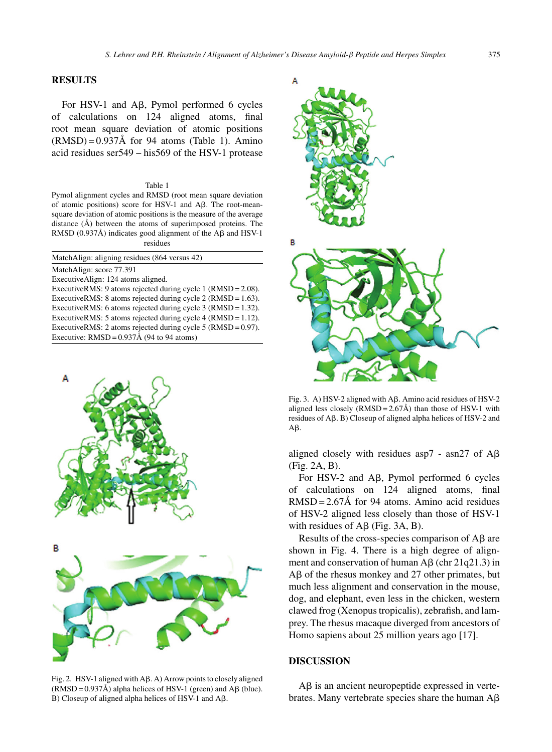### **RESULTS**

For HSV-1 and  $A\beta$ , Pymol performed 6 cycles of calculations on 124 aligned atoms, final root mean square deviation of atomic positions  $(RMSD) = 0.937\text{\AA}$  for 94 atoms (Table 1). Amino acid residues ser549 – his569 of the HSV-1 protease

#### Table 1

Pymol alignment cycles and RMSD (root mean square deviation of atomic positions) score for HSV-1 and  $\mathbf{A}\boldsymbol{\beta}$ . The root-meansquare deviation of atomic positions is the measure of the average distance  $(\hat{A})$  between the atoms of superimposed proteins. The RMSD (0.937Å) indicates good alignment of the  $A\beta$  and HSV-1 residues

| MatchAlign: aligning residues (864 versus 42)                    |
|------------------------------------------------------------------|
| MatchAlign: score 77.391                                         |
| Executive Align: 124 atoms aligned.                              |
| ExecutiveRMS: 9 atoms rejected during cycle 1 $(RMSD = 2.08)$ .  |
| ExecutiveRMS: 8 atoms rejected during cycle 2 (RMSD = $1.63$ ).  |
| Executive RMS: 6 atoms rejected during cycle $3$ (RMSD = 1.32).  |
| ExecutiveRMS: 5 atoms rejected during cycle 4 ( $RMSD = 1.12$ ). |
| ExecutiveRMS: 2 atoms rejected during cycle 5 ( $RMSD = 0.97$ ). |
| Executive: $RMSD = 0.937\text{\AA}$ (94 to 94 atoms)             |



Fig. 2.  $HSV-1$  aligned with A $\beta$ . A) Arrow points to closely aligned  $(RMSD = 0.937\text{\AA})$  alpha helices of HSV-1 (green) and A $\beta$  (blue).  $B$ ) Closeup of aligned alpha helices of HSV-1 and A $\beta$ .



Fig. 3. A) HSV-2 aligned with A $\beta$ . Amino acid residues of HSV-2 aligned less closely (RMSD =  $2.67\text{\AA}$ ) than those of HSV-1 with residues of  $A\beta$ . B) Closeup of aligned alpha helices of HSV-2 and  $A\beta$ .

aligned closely with residues asp7 - asn27 of  $A\beta$ (Fig. 2A, B).

For HSV-2 and  $A\beta$ , Pymol performed 6 cycles of calculations on 124 aligned atoms, final  $RMSD = 2.67\text{\AA}$  for 94 atoms. Amino acid residues of HSV-2 aligned less closely than those of HSV-1 with residues of  $A\beta$  (Fig. 3A, B).

Results of the cross-species comparison of  $A\beta$  are shown in Fig. 4. There is a high degree of alignment and conservation of human  $\text{A}\beta$  (chr 21q21.3) in  $A\beta$  of the rhesus monkey and 27 other primates, but much less alignment and conservation in the mouse, dog, and elephant, even less in the chicken, western clawed frog (Xenopus tropicalis), zebrafish, and lamprey. The rhesus macaque diverged from ancestors of Homo sapiens about 25 million years ago [17].

#### **DISCUSSION**

 $A\beta$  is an ancient neuropeptide expressed in vertebrates. Many vertebrate species share the human  $A\beta$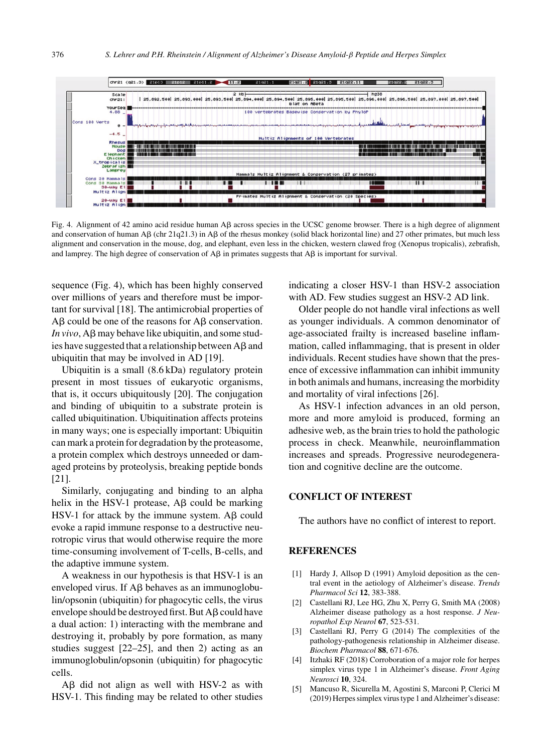

Fig. 4. Alignment of 42 amino acid residue human A $\beta$  across species in the UCSC genome browser. There is a high degree of alignment and conservation of human  $\beta$  (chr 21q21.3) in  $\beta$  of the rhesus monkey (solid black horizontal line) and 27 other primates, but much less alignment and conservation in the mouse, dog, and elephant, even less in the chicken, western clawed frog (Xenopus tropicalis), zebrafish, and lamprey. The high degree of conservation of  $\mathbf{A}\mathbf{\beta}$  in primates suggests that  $\mathbf{A}\mathbf{\beta}$  is important for survival.

sequence (Fig. 4), which has been highly conserved over millions of years and therefore must be important for survival [18]. The antimicrobial properties of  $\text{A}\beta$  could be one of the reasons for  $\text{A}\beta$  conservation.  $In vivo, A\beta$  may behave like ubiquitin, and some studies have suggested that a relationship between  $A\beta$  and ubiquitin that may be involved in AD [19].

Ubiquitin is a small (8.6 kDa) regulatory protein present in most tissues of eukaryotic organisms, that is, it occurs ubiquitously [20]. The conjugation and binding of ubiquitin to a substrate protein is called ubiquitination. Ubiquitination affects proteins in many ways; one is especially important: Ubiquitin can mark a protein for degradation by the proteasome, a protein complex which destroys unneeded or damaged proteins by proteolysis, breaking peptide bonds [21].

Similarly, conjugating and binding to an alpha helix in the HSV-1 protease,  $\text{A}\beta$  could be marking HSV-1 for attack by the immune system.  $\text{A}\beta$  could evoke a rapid immune response to a destructive neurotropic virus that would otherwise require the more time-consuming involvement of T-cells, B-cells, and the adaptive immune system.

A weakness in our hypothesis is that HSV-1 is an enveloped virus. If  $A\beta$  behaves as an immunoglobulin/opsonin (ubiquitin) for phagocytic cells, the virus envelope should be destroyed first. But  $A\beta$  could have a dual action: 1) interacting with the membrane and destroying it, probably by pore formation, as many studies suggest [22–25], and then 2) acting as an immunoglobulin/opsonin (ubiquitin) for phagocytic cells.

 $\text{A}\beta$  did not align as well with HSV-2 as with HSV-1. This finding may be related to other studies indicating a closer HSV-1 than HSV-2 association with AD. Few studies suggest an HSV-2 AD link.

Older people do not handle viral infections as well as younger individuals. A common denominator of age-associated frailty is increased baseline inflammation, called inflammaging, that is present in older individuals. Recent studies have shown that the presence of excessive inflammation can inhibit immunity in both animals and humans, increasing the morbidity and mortality of viral infections [26].

As HSV-1 infection advances in an old person, more and more amyloid is produced, forming an adhesive web, as the brain tries to hold the pathologic process in check. Meanwhile, neuroinflammation increases and spreads. Progressive neurodegeneration and cognitive decline are the outcome.

# **CONFLICT OF INTEREST**

The authors have no conflict of interest to report.

#### **REFERENCES**

- [1] Hardy J, Allsop D (1991) Amyloid deposition as the central event in the aetiology of Alzheimer's disease. *Trends Pharmacol Sci* **12**, 383-388.
- [2] Castellani RJ, Lee HG, Zhu X, Perry G, Smith MA (2008) Alzheimer disease pathology as a host response. *J Neuropathol Exp Neurol* **67**, 523-531.
- [3] Castellani RJ, Perry G (2014) The complexities of the pathology-pathogenesis relationship in Alzheimer disease. *Biochem Pharmacol* **88**, 671-676.
- [4] Itzhaki RF (2018) Corroboration of a major role for herpes simplex virus type 1 in Alzheimer's disease. *Front Aging Neurosci* **10**, 324.
- [5] Mancuso R, Sicurella M, Agostini S, Marconi P, Clerici M (2019) Herpes simplex virus type 1 and Alzheimer's disease: